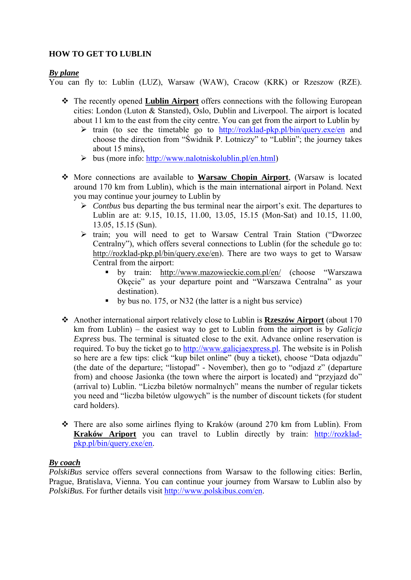## **HOW TO GET TO LUBLIN**

### *By plane*

You can fly to: Lublin (LUZ), Warsaw (WAW), Cracow (KRK) or Rzeszow (RZE).

- The recently opened **Lublin Airport** offers connections with the following European cities: London (Luton & Stansted), Oslo, Dublin and Liverpool. The airport is located about 11 km to the east from the city centre. You can get from the airport to Lublin by
	- $\triangleright$  train (to see the timetable go to http://rozklad-pkp.pl/bin/query.exe/en and choose the direction from "Świdnik P. Lotniczy" to "Lublin"; the journey takes about 15 mins)
	- $\triangleright$  bus (more info: http://www.nalotniskolublin.pl/en.html)
- More connections are available to **Warsaw Chopin Airport**, (Warsaw is located around 170 km from Lublin), which is the main international airport in Poland. Next you may continue your journey to Lublin by
	- *Contbus* bus departing the bus terminal near the airport's exit. The departures to Lublin are at: 9.15, 10.15, 11.00, 13.05, 15.15 (Mon-Sat) and 10.15, 11.00, 13.05, 15.15 (Sun).
	- train; you will need to get to Warsaw Central Train Station ("Dworzec Centralny"), which offers several connections to Lublin (for the schedule go to: http://rozklad-pkp.pl/bin/query.exe/en). There are two ways to get to Warsaw Central from the airport:
		- by train: http://www.mazowieckie.com.pl/en/ (choose "Warszawa Okęcie" as your departure point and "Warszawa Centralna" as your destination).
		- by bus no. 175, or N32 (the latter is a night bus service)
- Another international airport relatively close to Lublin is **Rzeszów Airport** (about 170 km from Lublin) – the easiest way to get to Lublin from the airport is by *Galicja Express* bus. The terminal is situated close to the exit. Advance online reservation is required. To buy the ticket go to http://www.galicjaexpress.pl. The website is in Polish so here are a few tips: click "kup bilet online" (buy a ticket), choose "Data odjazdu" (the date of the departure; "listopad" - November), then go to "odjazd z" (departure from) and choose Jasionka (the town where the airport is located) and "przyjazd do" (arrival to) Lublin. "Liczba biletów normalnych" means the number of regular tickets you need and "liczba biletów ulgowych" is the number of discount tickets (for student card holders).
- There are also some airlines flying to Kraków (around 270 km from Lublin). From **Kraków Ariport** you can travel to Lublin directly by train: http://rozkladpkp.pl/bin/query.exe/en.

### *By coach*

*PolskiBus* service offers several connections from Warsaw to the following cities: Berlin, Prague, Bratislava, Vienna. You can continue your journey from Warsaw to Lublin also by *PolskiBus.* For further details visit http://www.polskibus.com/en.